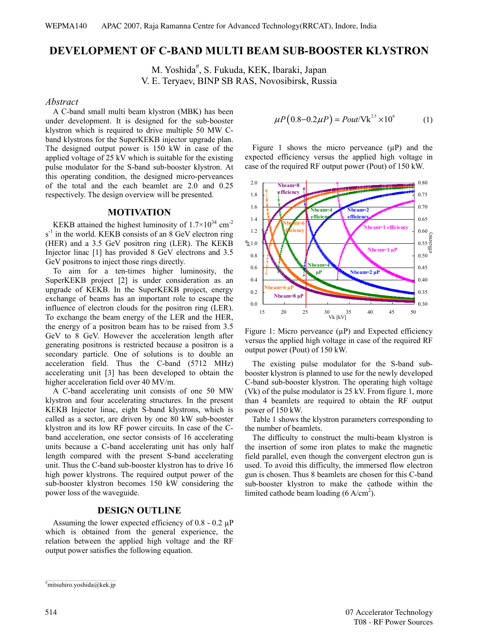# **DEVELOPMENT OF C-BAND MULTI BEAM SUB-BOOSTER KLYSTRON**

M. Yoshida<sup>#</sup>, S. Fukuda, KEK, Ibaraki, Japan V. E. Teryaev, BINP SB RAS, Novosibirsk, Russia

#### *Abstract*

A C-band small multi beam klystron (MBK) has been under development. It is designed for the sub-booster klystron which is required to drive multiple 50 MW Cband klystrons for the SuperKEKB injector upgrade plan. The designed output power is 150 kW in case of the applied voltage of 25 kV which is suitable for the existing pulse modulator for the S-band sub-booster klystron. At this operating condition, the designed micro-perveances of the total and the each beamlet are 2.0 and 0.25 respectively. The design overview will be presented.

#### **MOTIVATION**

KEKB attained the highest luminosity of  $1.7 \times 10^{34}$  cm<sup>-2</sup> s<sup>-1</sup> in the world. KEKB consists of an 8 GeV electron ring (HER) and a 3.5 GeV positron ring (LER). The KEKB Injector linac [1] has provided 8 GeV electrons and 3.5 GeV positrons to inject those rings directly.

To aim for a ten-times higher luminosity, the SuperKEKB project [2] is under consideration as an upgrade of KEKB. In the SuperKEKB project, energy exchange of beams has an important role to escape the influence of electron clouds for the positron ring (LER). To exchange the beam energy of the LER and the HER, the energy of a positron beam has to be raised from 3.5 GeV to 8 GeV. However the acceleration length after generating positrons is restricted because a positron is a secondary particle. One of solutions is to double an acceleration field. Thus the C-band (5712 MHz) accelerating unit [3] has been developed to obtain the higher acceleration field over 40 MV/m.

A C-band accelerating unit consists of one 50 MW klystron and four accelerating structures. In the present KEKB Injector linac, eight S-band klystrons, which is called as a sector, are driven by one 80 kW sub-booster klystron and its low RF power circuits. In case of the Cband acceleration, one sector consists of 16 accelerating units because a C-band accelerating unit has only half length compared with the present S-band accelerating unit. Thus the C-band sub-booster klystron has to drive 16 high power klystrons. The required output power of the sub-booster klystron becomes 150 kW considering the power loss of the waveguide.

## **DESIGN OUTLINE**

Assuming the lower expected efficiency of  $0.8 - 0.2 \mu$ P which is obtained from the general experience, the relation between the applied high voltage and the RF output power satisfies the following equation.

$$
\mu P (0.8 - 0.2 \mu P) = \text{Pout} / \text{Vk}^{2.5} \times 10^6 \tag{1}
$$

Figure 1 shows the micro perveance  $(\mu P)$  and the expected efficiency versus the applied high voltage in case of the required RF output power (Pout) of 150 kW.



Figure 1: Micro perveance  $(\mu P)$  and Expected efficiency versus the applied high voltage in case of the required RF output power (Pout) of 150 kW.

The existing pulse modulator for the S-band subbooster klystron is planned to use for the newly developed C-band sub-booster klystron. The operating high voltage (Vk) of the pulse modulator is 25 kV. From figure 1, more than 4 beamlets are required to obtain the RF output power of 150 kW.

Table 1 shows the klystron parameters corresponding to the number of beamlets.

The difficulty to construct the multi-beam klystron is the insertion of some iron plates to make the magnetic field parallel, even though the convergent electron gun is used. To avoid this difficulty, the immersed flow electron gun is chosen. Thus 8 beamlets are chosen for this C-band sub-booster klystron to make the cathode within the limited cathode beam loading  $(6 \text{ A/cm}^2)$ .

<sup>#</sup> mitsuhiro.yoshida@kek.jp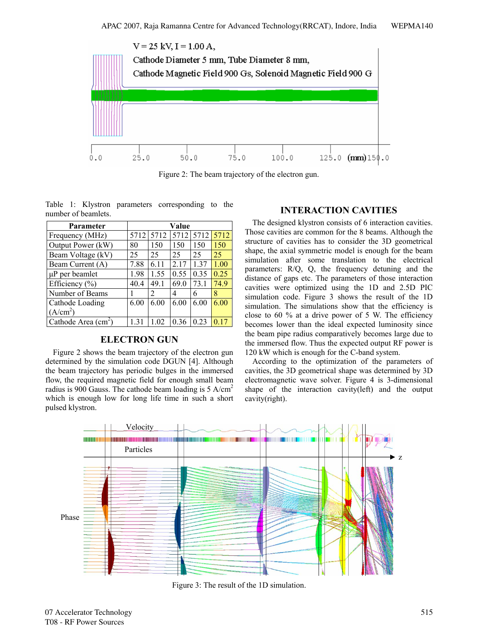

Figure 2: The beam trajectory of the electron gun.

Table 1: Klystron parameters corresponding to the number of beamlets.

| Parameter            | Value |      |      |      |      |
|----------------------|-------|------|------|------|------|
| Frequency (MHz)      | 5712  | 5712 | 5712 | 5712 | 5712 |
| Output Power (kW)    | 80    | 150  | 150  | 150  | 150  |
| Beam Voltage (kV)    | 25    | 25   | 25   | 25   | 25   |
| Beam Current (A)     | 7.88  | 6.11 | 2.17 | 1.37 | 1.00 |
| $\mu$ P per beamlet  | 1.98  | 1.55 | 0.55 | 0.35 | 0.25 |
| Efficiency (%)       | 40.4  | 49.1 | 69.0 | 73.1 | 74.9 |
| Number of Beams      |       | 2    | 4    | 6    | 8    |
| Cathode Loading      | 6.00  | 6.00 | 6.00 | 6.00 | 6.00 |
| (A/cm <sup>2</sup> ) |       |      |      |      |      |
| Cathode Area $(cm2)$ | 131   | 1.02 | 0.36 | 0.23 | 0.17 |

### **ELECTRON GUN**

Figure 2 shows the beam trajectory of the electron gun determined by the simulation code DGUN [4]. Although the beam trajectory has periodic bulges in the immersed flow, the required magnetic field for enough small beam radius is 900 Gauss. The cathode beam loading is 5 A/cm2 which is enough low for long life time in such a short pulsed klystron.

## **INTERACTION CAVITIES**

The designed klystron consists of 6 interaction cavities. Those cavities are common for the 8 beams. Although the structure of cavities has to consider the 3D geometrical shape, the axial symmetric model is enough for the beam simulation after some translation to the electrical parameters: R/Q, Q, the frequency detuning and the distance of gaps etc. The parameters of those interaction cavities were optimized using the 1D and 2.5D PIC simulation code. Figure 3 shows the result of the 1D simulation. The simulations show that the efficiency is close to 60  $\%$  at a drive power of 5 W. The efficiency becomes lower than the ideal expected luminosity since the beam pipe radius comparatively becomes large due to the immersed flow. Thus the expected output RF power is 120 kW which is enough for the C-band system.

According to the optimization of the parameters of cavities, the 3D geometrical shape was determined by 3D electromagnetic wave solver. Figure 4 is 3-dimensional shape of the interaction cavity(left) and the output cavity(right).



Figure 3: The result of the 1D simulation.